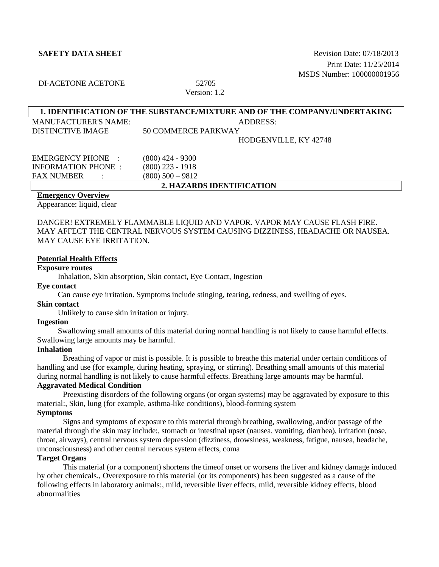**SAFETY DATA SHEET** SERVER AND REVISION DATE: 07/18/2013 Print Date: 11/25/2014 MSDS Number: 100000001956

# DI-ACETONE ACETONE 52705

# Version: 1.2

| 1. IDENTIFICATION OF THE SUBSTANCE/MIXTURE AND OF THE COMPANY/UNDERTAKING |                     |  |  |
|---------------------------------------------------------------------------|---------------------|--|--|
| <b>MANUFACTURER'S NAME:</b>                                               | ADDRESS:            |  |  |
| <b>DISTINCTIVE IMAGE</b>                                                  | 50 COMMERCE PARKWAY |  |  |
| HODGENVILLE, KY 42748                                                     |                     |  |  |
| <b>EMERGENCY PHONE :</b>                                                  | (800) 424 - 9300    |  |  |
| <b>INFORMATION PHONE :</b>                                                | $(800)$ 223 - 1918  |  |  |
| <b>FAX NUMBER</b>                                                         | $(800)$ 500 - 9812  |  |  |
| 2. HAZARDS IDENTIFICATION                                                 |                     |  |  |

### **Emergency Overview**

Appearance: liquid, clear

DANGER! EXTREMELY FLAMMABLE LIQUID AND VAPOR. VAPOR MAY CAUSE FLASH FIRE. MAY AFFECT THE CENTRAL NERVOUS SYSTEM CAUSING DIZZINESS, HEADACHE OR NAUSEA. MAY CAUSE EYE IRRITATION.

### **Potential Health Effects**

# **Exposure routes**

Inhalation, Skin absorption, Skin contact, Eye Contact, Ingestion

## **Eye contact**

Can cause eye irritation. Symptoms include stinging, tearing, redness, and swelling of eyes.

## **Skin contact**

Unlikely to cause skin irritation or injury.

## **Ingestion**

Swallowing small amounts of this material during normal handling is not likely to cause harmful effects. Swallowing large amounts may be harmful.

## **Inhalation**

Breathing of vapor or mist is possible. It is possible to breathe this material under certain conditions of handling and use (for example, during heating, spraying, or stirring). Breathing small amounts of this material during normal handling is not likely to cause harmful effects. Breathing large amounts may be harmful.

# **Aggravated Medical Condition**

Preexisting disorders of the following organs (or organ systems) may be aggravated by exposure to this material:, Skin, lung (for example, asthma-like conditions), blood-forming system **Symptoms**

Signs and symptoms of exposure to this material through breathing, swallowing, and/or passage of the material through the skin may include:, stomach or intestinal upset (nausea, vomiting, diarrhea), irritation (nose, throat, airways), central nervous system depression (dizziness, drowsiness, weakness, fatigue, nausea, headache, unconsciousness) and other central nervous system effects, coma

# **Target Organs**

This material (or a component) shortens the timeof onset or worsens the liver and kidney damage induced by other chemicals., Overexposure to this material (or its components) has been suggested as a cause of the following effects in laboratory animals:, mild, reversible liver effects, mild, reversible kidney effects, blood abnormalities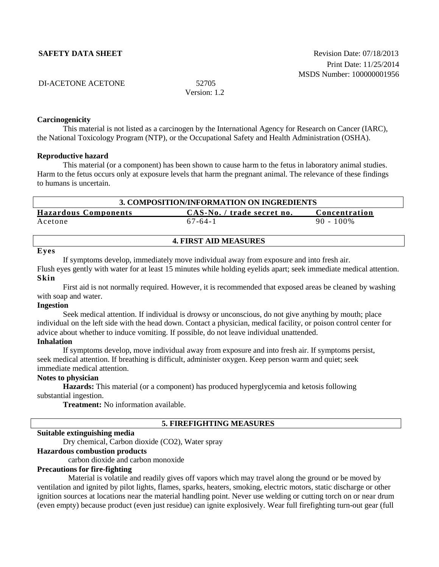| DI-ACETONE ACETONE | 52705 |
|--------------------|-------|
|                    |       |

Version: 1.2

### **Carcinogenicity**

This material is not listed as a carcinogen by the International Agency for Research on Cancer (IARC), the National Toxicology Program (NTP), or the Occupational Safety and Health Administration (OSHA).

### **Reproductive hazard**

This material (or a component) has been shown to cause harm to the fetus in laboratory animal studies. Harm to the fetus occurs only at exposure levels that harm the pregnant animal. The relevance of these findings to humans is uncertain.

| 3. COMPOSITION/INFORMATION ON INGREDIENTS                                  |               |              |  |  |
|----------------------------------------------------------------------------|---------------|--------------|--|--|
| <b>Hazardous Components</b><br>CAS-No. / trade secret no.<br>Concentration |               |              |  |  |
| Acetone                                                                    | $67 - 64 - 1$ | $90 - 100\%$ |  |  |

### **4. FIRST AID MEASURES**

### **Eyes**

If symptoms develop, immediately move individual away from exposure and into fresh air. Flush eyes gently with water for at least 15 minutes while holding eyelids apart; seek immediate medical attention.

### **Skin**

First aid is not normally required. However, it is recommended that exposed areas be cleaned by washing with soap and water.

### **Ingestion**

Seek medical attention. If individual is drowsy or unconscious, do not give anything by mouth; place individual on the left side with the head down. Contact a physician, medical facility, or poison control center for advice about whether to induce vomiting. If possible, do not leave individual unattended. **Inhalation**

If symptoms develop, move individual away from exposure and into fresh air. If symptoms persist, seek medical attention. If breathing is difficult, administer oxygen. Keep person warm and quiet; seek immediate medical attention.

# **Notes to physician**

**Hazards:** This material (or a component) has produced hyperglycemia and ketosis following substantial ingestion.

**Treatment:** No information available.

# **5. FIREFIGHTING MEASURES**

### **Suitable extinguishing media**

Dry chemical, Carbon dioxide (CO2), Water spray

# **Hazardous combustion products**

carbon dioxide and carbon monoxide

### **Precautions for fire-fighting**

Material is volatile and readily gives off vapors which may travel along the ground or be moved by ventilation and ignited by pilot lights, flames, sparks, heaters, smoking, electric motors, static discharge or other ignition sources at locations near the material handling point. Never use welding or cutting torch on or near drum (even empty) because product (even just residue) can ignite explosively. Wear full firefighting turn-out gear (full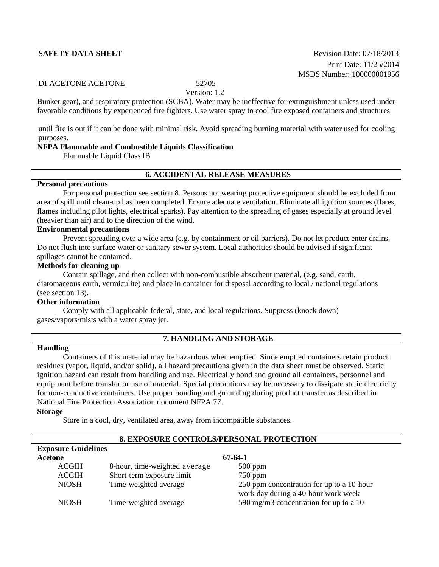**SAFETY DATA SHEET** SERVERSITY **Revision Date: 07/18/2013** Print Date: 11/25/2014 MSDS Number: 100000001956

### DI-ACETONE ACETONE 52705

Version: 1.2

Bunker gear), and respiratory protection (SCBA). Water may be ineffective for extinguishment unless used under favorable conditions by experienced fire fighters. Use water spray to cool fire exposed containers and structures

until fire is out if it can be done with minimal risk. Avoid spreading burning material with water used for cooling purposes.

# **NFPA Flammable and Combustible Liquids Classification**

Flammable Liquid Class IB

# **6. ACCIDENTAL RELEASE MEASURES**

### **Personal precautions**

For personal protection see section 8. Persons not wearing protective equipment should be excluded from area of spill until clean-up has been completed. Ensure adequate ventilation. Eliminate all ignition sources (flares, flames including pilot lights, electrical sparks). Pay attention to the spreading of gases especially at ground level (heavier than air) and to the direction of the wind.

# **Environmental precautions**

Prevent spreading over a wide area (e.g. by containment or oil barriers). Do not let product enter drains. Do not flush into surface water or sanitary sewer system. Local authorities should be advised if significant spillages cannot be contained.

# **Methods for cleaning up**

Contain spillage, and then collect with non-combustible absorbent material, (e.g. sand, earth, diatomaceous earth, vermiculite) and place in container for disposal according to local / national regulations (see section 13).

### **Other information**

Comply with all applicable federal, state, and local regulations. Suppress (knock down) gases/vapors/mists with a water spray jet.

# **7. HANDLING AND STORAGE**

# **Handling**

Containers of this material may be hazardous when emptied. Since emptied containers retain product residues (vapor, liquid, and/or solid), all hazard precautions given in the data sheet must be observed. Static ignition hazard can result from handling and use. Electrically bond and ground all containers, personnel and equipment before transfer or use of material. Special precautions may be necessary to dissipate static electricity for non-conductive containers. Use proper bonding and grounding during product transfer as described in National Fire Protection Association document NFPA 77.

# **Storage**

Store in a cool, dry, ventilated area, away from incompatible substances.

| 0. EAI USUNE CUNTINUES/I ENSUNAL I NUTECTIUN |                               |                                                                                  |  |  |
|----------------------------------------------|-------------------------------|----------------------------------------------------------------------------------|--|--|
| <b>Exposure Guidelines</b>                   |                               |                                                                                  |  |  |
| Acetone                                      |                               | 67-64-1                                                                          |  |  |
| <b>ACGIH</b>                                 | 8-hour, time-weighted average | $500$ ppm                                                                        |  |  |
| <b>ACGIH</b>                                 | Short-term exposure limit     | $750$ ppm                                                                        |  |  |
| <b>NIOSH</b>                                 | Time-weighted average         | 250 ppm concentration for up to a 10-hour<br>work day during a 40-hour work week |  |  |
| <b>NIOSH</b>                                 | Time-weighted average         | 590 mg/m3 concentration for up to a 10-                                          |  |  |

# **8. EXPOSURE CONTROLS/PERSONAL PROTECTION**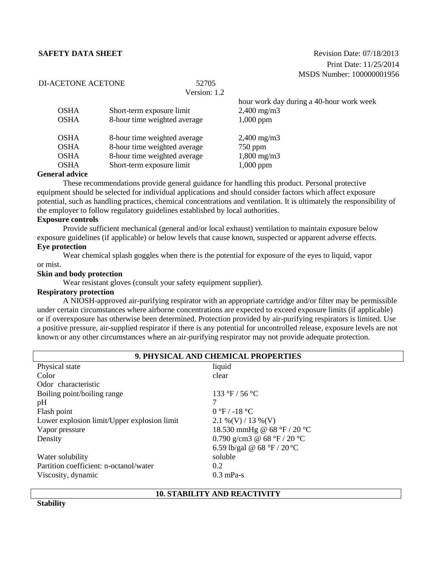**SAFETY DATA SHEET** SAFET **Revision Date: 07/18/2013** Print Date: 11/25/2014 MSDS Number: 100000001956

# DI-ACETONE ACETONE 52705

Version: 1.2

|        |             |                              | hour work day during a 40-hour work week |
|--------|-------------|------------------------------|------------------------------------------|
|        | <b>OSHA</b> | Short-term exposure limit    | $2,400 \text{ mg/m}$ 3                   |
|        | <b>OSHA</b> | 8-hour time weighted average | $1,000$ ppm                              |
|        | <b>OSHA</b> | 8-hour time weighted average | $2,400 \text{ mg/m}$                     |
|        | <b>OSHA</b> | 8-hour time weighted average | $750$ ppm                                |
|        | <b>OSHA</b> | 8-hour time weighted average | $1,800 \text{ mg/m}$ 3                   |
|        | <b>OSHA</b> | Short-term exposure limit    | $1,000$ ppm                              |
| $\sim$ | .           |                              |                                          |

### **General advice**

These recommendations provide general guidance for handling this product. Personal protective equipment should be selected for individual applications and should consider factors which affect exposure potential, such as handling practices, chemical concentrations and ventilation. It is ultimately the responsibility of the employer to follow regulatory guidelines established by local authorities.

### **Exposure controls**

Provide sufficient mechanical (general and/or local exhaust) ventilation to maintain exposure below exposure guidelines (if applicable) or below levels that cause known, suspected or apparent adverse effects. **Eye protection**

Wear chemical splash goggles when there is the potential for exposure of the eyes to liquid, vapor or mist.

### **Skin and body protection**

Wear resistant gloves (consult your safety equipment supplier).

# **Respiratory protection**

A NIOSH-approved air-purifying respirator with an appropriate cartridge and/or filter may be permissible under certain circumstances where airborne concentrations are expected to exceed exposure limits (if applicable) or if overexposure has otherwise been determined. Protection provided by air-purifying respirators is limited. Use a positive pressure, air-supplied respirator if there is any potential for uncontrolled release, exposure levels are not known or any other circumstances where an air-purifying respirator may not provide adequate protection.

| 9. PHYSICAL AND CHEMICAL PROPERTIES         |                             |  |  |  |
|---------------------------------------------|-----------------------------|--|--|--|
| Physical state<br>liquid                    |                             |  |  |  |
| Color                                       | clear                       |  |  |  |
| Odor characteristic                         |                             |  |  |  |
| Boiling point/boiling range                 | 133 °F / 56 °C              |  |  |  |
| pH                                          |                             |  |  |  |
| Flash point                                 | $0 °F / -18 °C$             |  |  |  |
| Lower explosion limit/Upper explosion limit | $2.1\%$ (V) / 13 % (V)      |  |  |  |
| Vapor pressure                              | 18.530 mmHg @ 68 °F / 20 °C |  |  |  |
| Density                                     | 0.790 g/cm3 @ 68 °F / 20 °C |  |  |  |
|                                             | 6.59 lb/gal @ 68 °F / 20 °C |  |  |  |
| Water solubility                            | soluble                     |  |  |  |
| Partition coefficient: n-octanol/water      | 0.2                         |  |  |  |
| Viscosity, dynamic                          | $0.3$ mPa-s                 |  |  |  |

### **10. STABILITY AND REACTIVITY**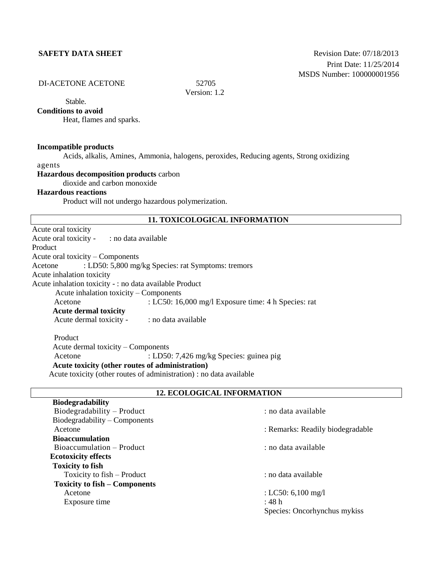# DI-ACETONE ACETONE 52705

Version: 1.2

# Stable.

# **Conditions to avoid**

Heat, flames and sparks.

### **Incompatible products**

Acids, alkalis, Amines, Ammonia, halogens, peroxides, Reducing agents, Strong oxidizing agents

### **Hazardous decomposition products** carbon

dioxide and carbon monoxide

## **Hazardous reactions**

**Biodegradability**

Product will not undergo hazardous polymerization.

# **11. TOXICOLOGICAL INFORMATION**

Acute oral toxicity Acute oral toxicity - : no data available Product Acute oral toxicity – Components Acetone : LD50: 5,800 mg/kg Species: rat Symptoms: tremors Acute inhalation toxicity Acute inhalation toxicity - : no data available Product Acute inhalation toxicity – Components Acetone : LC50: 16,000 mg/l Exposure time: 4 h Species: rat **Acute dermal toxicity** Acute dermal toxicity - : no data available Product Acute dermal toxicity – Components

Acetone : LD50: 7,426 mg/kg Species: guinea pig **Acute toxicity (other routes of administration)** Acute toxicity (other routes of administration) : no data available

## **12. ECOLOGICAL INFORMATION**

| : no data available              |
|----------------------------------|
|                                  |
| : Remarks: Readily biodegradable |
|                                  |
| : no data available              |
|                                  |
|                                  |
| : no data available              |
|                                  |
| : LC50: 6,100 mg/l               |
| : 48h                            |
| Species: Oncorhynchus mykiss     |
|                                  |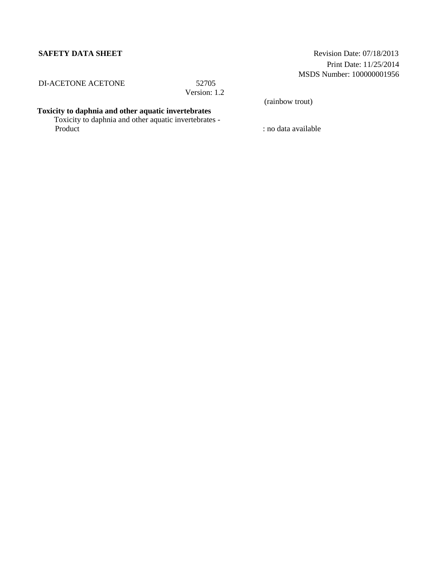**SAFETY DATA SHEET** Revision Date: 07/18/2013 Print Date: 11/25/2014 MSDS Number: 100000001956

DI-ACETONE ACETONE 52705

Version: 1.2

(rainbow trout)

### **Toxicity to daphnia and other aquatic invertebrates**

Toxicity to daphnia and other aquatic invertebrates - Product : no data available : no data available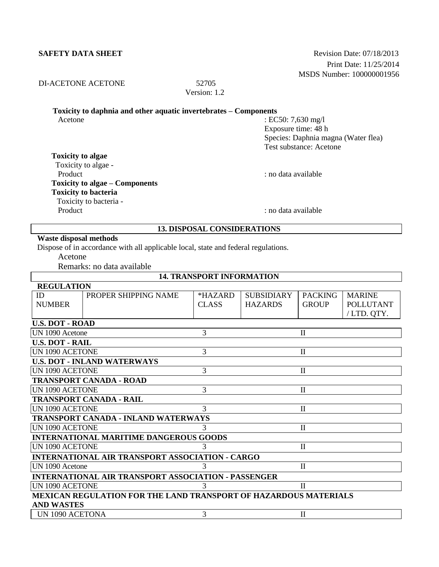## **SAFETY DATA SHEET**

| <b>Revision Date: 07/18/2013</b> |
|----------------------------------|
| Print Date: 11/25/2014           |
| MSDS Number: 100000001956        |

# DI-ACETONE ACETONE 52705

Version: 1.2

# **Toxicity to daphnia and other aquatic invertebrates – Components**

Acetone : EC50: 7,630 mg/l Exposure time: 48 h Species: Daphnia magna (Water flea) Test substance: Acetone

# **Toxicity to algae**

 Toxicity to algae - Product : no data available : no data available **Toxicity to algae – Components Toxicity to bacteria** Toxicity to bacteria -

Product : no data available : no data available : no data available

# **13. DISPOSAL CONSIDERATIONS**

# **Waste disposal methods**

Dispose of in accordance with all applicable local, state and federal regulations.

Acetone

Remarks: no data available

| <b>14. TRANSPORT INFORMATION</b>                                        |                                               |                         |                                     |                                |                                                 |
|-------------------------------------------------------------------------|-----------------------------------------------|-------------------------|-------------------------------------|--------------------------------|-------------------------------------------------|
| <b>REGULATION</b>                                                       |                                               |                         |                                     |                                |                                                 |
| ID<br><b>NUMBER</b>                                                     | PROPER SHIPPING NAME                          | *HAZARD<br><b>CLASS</b> | <b>SUBSIDIARY</b><br><b>HAZARDS</b> | <b>PACKING</b><br><b>GROUP</b> | <b>MARINE</b><br><b>POLLUTANT</b><br>/LTD. QTY. |
| <b>U.S. DOT - ROAD</b>                                                  |                                               |                         |                                     |                                |                                                 |
| UN 1090 Acetone                                                         |                                               | 3                       |                                     | $\mathbf{I}$                   |                                                 |
| <b>U.S. DOT - RAIL</b>                                                  |                                               |                         |                                     |                                |                                                 |
| <b>UN 1090 ACETONE</b>                                                  |                                               | 3                       |                                     | $\mathbf{I}$                   |                                                 |
|                                                                         | <b>U.S. DOT - INLAND WATERWAYS</b>            |                         |                                     |                                |                                                 |
| <b>UN 1090 ACETONE</b>                                                  |                                               | 3                       |                                     | $\mathbf{I}$                   |                                                 |
|                                                                         | <b>TRANSPORT CANADA - ROAD</b>                |                         |                                     |                                |                                                 |
| UN 1090 ACETONE                                                         |                                               | 3                       |                                     | $\mathbf{I}$                   |                                                 |
|                                                                         | <b>TRANSPORT CANADA - RAIL</b>                |                         |                                     |                                |                                                 |
| <b>UN 1090 ACETONE</b>                                                  |                                               | $\mathcal{R}$           |                                     | $\mathbf{I}$                   |                                                 |
|                                                                         | <b>TRANSPORT CANADA - INLAND WATERWAYS</b>    |                         |                                     |                                |                                                 |
| UN 1090 ACETONE                                                         |                                               |                         |                                     | $\mathbf{I}$                   |                                                 |
|                                                                         | <b>INTERNATIONAL MARITIME DANGEROUS GOODS</b> |                         |                                     |                                |                                                 |
| <b>UN 1090 ACETONE</b>                                                  |                                               |                         |                                     | $\mathbf{I}$                   |                                                 |
| <b>INTERNATIONAL AIR TRANSPORT ASSOCIATION - CARGO</b>                  |                                               |                         |                                     |                                |                                                 |
| UN 1090 Acetone                                                         |                                               |                         |                                     | $\mathbf{I}$                   |                                                 |
| <b>INTERNATIONAL AIR TRANSPORT ASSOCIATION - PASSENGER</b>              |                                               |                         |                                     |                                |                                                 |
| <b>UN 1090 ACETONE</b>                                                  |                                               |                         |                                     | $\Pi$                          |                                                 |
| <b>MEXICAN REGULATION FOR THE LAND TRANSPORT OF HAZARDOUS MATERIALS</b> |                                               |                         |                                     |                                |                                                 |
| <b>AND WASTES</b>                                                       |                                               |                         |                                     |                                |                                                 |
| UN 1090 ACETONA                                                         |                                               | 3                       |                                     | $\mathbf{I}$                   |                                                 |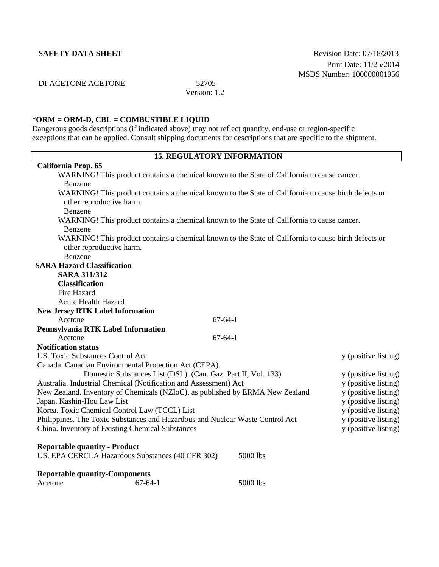**SAFETY DATA SHEET** Revision Date: 07/18/2013 Print Date: 11/25/2014 MSDS Number: 100000001956

DI-ACETONE ACETONE 52705

Version: 1.2

# **\*ORM = ORM-D, CBL = COMBUSTIBLE LIQUID**

Dangerous goods descriptions (if indicated above) may not reflect quantity, end-use or region-specific exceptions that can be applied. Consult shipping documents for descriptions that are specific to the shipment.

| <b>15. REGULATORY INFORMATION</b>                                                                                                |                      |  |
|----------------------------------------------------------------------------------------------------------------------------------|----------------------|--|
| <b>California Prop. 65</b>                                                                                                       |                      |  |
| WARNING! This product contains a chemical known to the State of California to cause cancer.                                      |                      |  |
| Benzene                                                                                                                          |                      |  |
| WARNING! This product contains a chemical known to the State of California to cause birth defects or<br>other reproductive harm. |                      |  |
| Benzene                                                                                                                          |                      |  |
| WARNING! This product contains a chemical known to the State of California to cause cancer.<br>Benzene                           |                      |  |
| WARNING! This product contains a chemical known to the State of California to cause birth defects or                             |                      |  |
| other reproductive harm.                                                                                                         |                      |  |
| Benzene                                                                                                                          |                      |  |
| <b>SARA Hazard Classification</b>                                                                                                |                      |  |
| <b>SARA 311/312</b>                                                                                                              |                      |  |
| <b>Classification</b>                                                                                                            |                      |  |
| Fire Hazard                                                                                                                      |                      |  |
| <b>Acute Health Hazard</b>                                                                                                       |                      |  |
| <b>New Jersey RTK Label Information</b>                                                                                          |                      |  |
| $67 - 64 - 1$<br>Acetone                                                                                                         |                      |  |
| Pennsylvania RTK Label Information                                                                                               |                      |  |
| Acetone<br>$67 - 64 - 1$                                                                                                         |                      |  |
| <b>Notification status</b>                                                                                                       |                      |  |
| <b>US. Toxic Substances Control Act</b>                                                                                          | y (positive listing) |  |
| Canada. Canadian Environmental Protection Act (CEPA).                                                                            |                      |  |
| Domestic Substances List (DSL). (Can. Gaz. Part II, Vol. 133)                                                                    | y (positive listing) |  |
| Australia. Industrial Chemical (Notification and Assessment) Act                                                                 | y (positive listing) |  |
| New Zealand. Inventory of Chemicals (NZIoC), as published by ERMA New Zealand<br>y (positive listing)                            |                      |  |
| Japan. Kashin-Hou Law List<br>y (positive listing)                                                                               |                      |  |
| Korea. Toxic Chemical Control Law (TCCL) List                                                                                    | y (positive listing) |  |
| Philippines. The Toxic Substances and Hazardous and Nuclear Waste Control Act                                                    | y (positive listing) |  |
| China. Inventory of Existing Chemical Substances                                                                                 | y (positive listing) |  |
| <b>Reportable quantity - Product</b><br>US. EPA CERCLA Hazardous Substances (40 CFR 302)<br>5000 lbs                             |                      |  |
| <b>Reportable quantity-Components</b>                                                                                            |                      |  |

Acetone 67-64-1 5000 lbs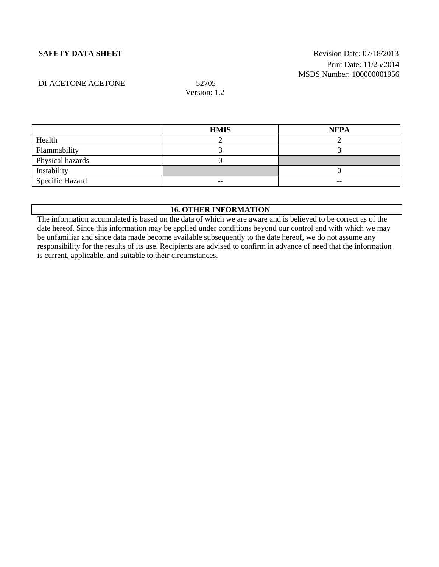# **SAFETY DATA SHEET** SAFETY **Revision Date: 07/18/2013** Print Date: 11/25/2014 MSDS Number: 100000001956

# DI-ACETONE ACETONE 52705

Version: 1.2

|                  | <b>HMIS</b> | <b>NFPA</b> |
|------------------|-------------|-------------|
| Health           |             |             |
| Flammability     |             |             |
| Physical hazards |             |             |
| Instability      |             |             |
| Specific Hazard  | $- -$       | $- -$       |

# **16. OTHER INFORMATION**

The information accumulated is based on the data of which we are aware and is believed to be correct as of the date hereof. Since this information may be applied under conditions beyond our control and with which we may be unfamiliar and since data made become available subsequently to the date hereof, we do not assume any responsibility for the results of its use. Recipients are advised to confirm in advance of need that the information is current, applicable, and suitable to their circumstances.